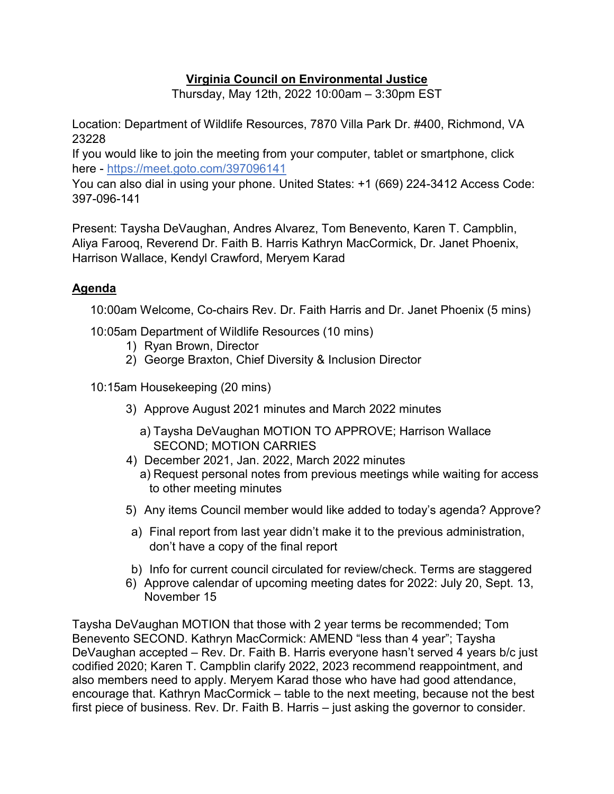# **Virginia Council on Environmental Justice**

Thursday, May 12th, 2022 10:00am – 3:30pm EST

Location: Department of Wildlife Resources, 7870 Villa Park Dr. #400, Richmond, VA 23228

If you would like to join the meeting from your computer, tablet or smartphone, click here -<https://meet.goto.com/397096141>

You can also dial in using your phone. United States: +1 (669) 224-3412 Access Code: 397-096-141

Present: Taysha DeVaughan, Andres Alvarez, Tom Benevento, Karen T. Campblin, Aliya Farooq, Reverend Dr. Faith B. Harris Kathryn MacCormick, Dr. Janet Phoenix, Harrison Wallace, Kendyl Crawford, Meryem Karad

### **Agenda**

10:00am Welcome, Co-chairs Rev. Dr. Faith Harris and Dr. Janet Phoenix (5 mins)

10:05am Department of Wildlife Resources (10 mins)

- 1) Ryan Brown, Director
- 2) George Braxton, Chief Diversity & Inclusion Director

10:15am Housekeeping (20 mins)

- 3) Approve August 2021 minutes and March 2022 minutes
	- a) Taysha DeVaughan MOTION TO APPROVE; Harrison Wallace SECOND; MOTION CARRIES
- 4) December 2021, Jan. 2022, March 2022 minutes a) Request personal notes from previous meetings while waiting for access to other meeting minutes
- 5) Any items Council member would like added to today's agenda? Approve?
- a) Final report from last year didn't make it to the previous administration, don't have a copy of the final report
- b) Info for current council circulated for review/check. Terms are staggered
- 6) Approve calendar of upcoming meeting dates for 2022: July 20, Sept. 13, November 15

Taysha DeVaughan MOTION that those with 2 year terms be recommended; Tom Benevento SECOND. Kathryn MacCormick: AMEND "less than 4 year"; Taysha DeVaughan accepted – Rev. Dr. Faith B. Harris everyone hasn't served 4 years b/c just codified 2020; Karen T. Campblin clarify 2022, 2023 recommend reappointment, and also members need to apply. Meryem Karad those who have had good attendance, encourage that. Kathryn MacCormick – table to the next meeting, because not the best first piece of business. Rev. Dr. Faith B. Harris – just asking the governor to consider.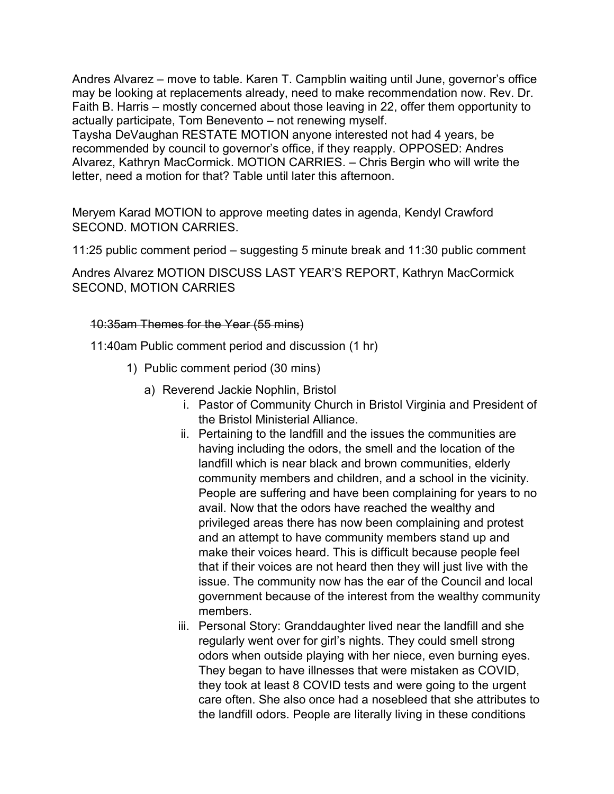Andres Alvarez – move to table. Karen T. Campblin waiting until June, governor's office may be looking at replacements already, need to make recommendation now. Rev. Dr. Faith B. Harris – mostly concerned about those leaving in 22, offer them opportunity to actually participate, Tom Benevento – not renewing myself.

Taysha DeVaughan RESTATE MOTION anyone interested not had 4 years, be recommended by council to governor's office, if they reapply. OPPOSED: Andres Alvarez, Kathryn MacCormick. MOTION CARRIES. – Chris Bergin who will write the letter, need a motion for that? Table until later this afternoon.

Meryem Karad MOTION to approve meeting dates in agenda, Kendyl Crawford SECOND. MOTION CARRIES.

11:25 public comment period – suggesting 5 minute break and 11:30 public comment

Andres Alvarez MOTION DISCUSS LAST YEAR'S REPORT, Kathryn MacCormick SECOND, MOTION CARRIES

### 10:35am Themes for the Year (55 mins)

11:40am Public comment period and discussion (1 hr)

- 1) Public comment period (30 mins)
	- a) Reverend Jackie Nophlin, Bristol
		- i. Pastor of Community Church in Bristol Virginia and President of the Bristol Ministerial Alliance.
		- ii. Pertaining to the landfill and the issues the communities are having including the odors, the smell and the location of the landfill which is near black and brown communities, elderly community members and children, and a school in the vicinity. People are suffering and have been complaining for years to no avail. Now that the odors have reached the wealthy and privileged areas there has now been complaining and protest and an attempt to have community members stand up and make their voices heard. This is difficult because people feel that if their voices are not heard then they will just live with the issue. The community now has the ear of the Council and local government because of the interest from the wealthy community members.
		- iii. Personal Story: Granddaughter lived near the landfill and she regularly went over for girl's nights. They could smell strong odors when outside playing with her niece, even burning eyes. They began to have illnesses that were mistaken as COVID, they took at least 8 COVID tests and were going to the urgent care often. She also once had a nosebleed that she attributes to the landfill odors. People are literally living in these conditions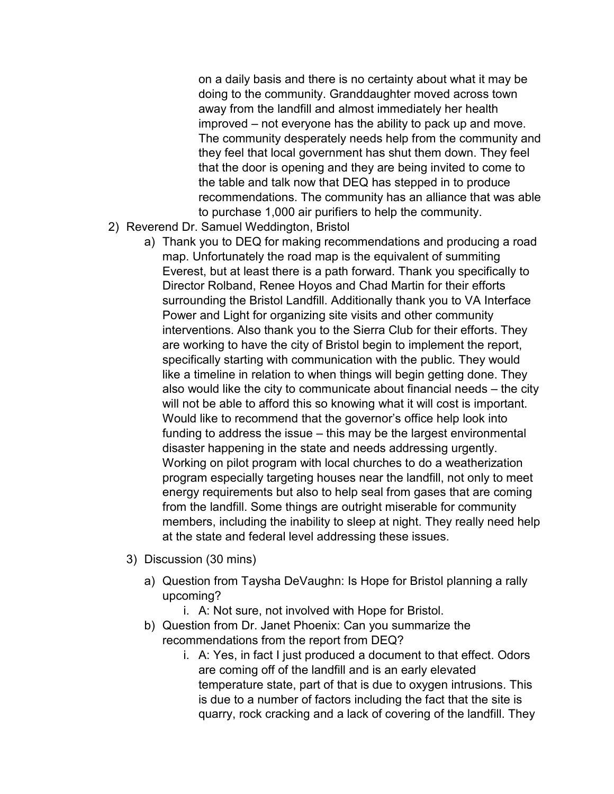on a daily basis and there is no certainty about what it may be doing to the community. Granddaughter moved across town away from the landfill and almost immediately her health improved – not everyone has the ability to pack up and move. The community desperately needs help from the community and they feel that local government has shut them down. They feel that the door is opening and they are being invited to come to the table and talk now that DEQ has stepped in to produce recommendations. The community has an alliance that was able to purchase 1,000 air purifiers to help the community.

- 2) Reverend Dr. Samuel Weddington, Bristol
	- a) Thank you to DEQ for making recommendations and producing a road map. Unfortunately the road map is the equivalent of summiting Everest, but at least there is a path forward. Thank you specifically to Director Rolband, Renee Hoyos and Chad Martin for their efforts surrounding the Bristol Landfill. Additionally thank you to VA Interface Power and Light for organizing site visits and other community interventions. Also thank you to the Sierra Club for their efforts. They are working to have the city of Bristol begin to implement the report, specifically starting with communication with the public. They would like a timeline in relation to when things will begin getting done. They also would like the city to communicate about financial needs – the city will not be able to afford this so knowing what it will cost is important. Would like to recommend that the governor's office help look into funding to address the issue – this may be the largest environmental disaster happening in the state and needs addressing urgently. Working on pilot program with local churches to do a weatherization program especially targeting houses near the landfill, not only to meet energy requirements but also to help seal from gases that are coming from the landfill. Some things are outright miserable for community members, including the inability to sleep at night. They really need help at the state and federal level addressing these issues.
	- 3) Discussion (30 mins)
		- a) Question from Taysha DeVaughn: Is Hope for Bristol planning a rally upcoming?
			- i. A: Not sure, not involved with Hope for Bristol.
		- b) Question from Dr. Janet Phoenix: Can you summarize the recommendations from the report from DEQ?
			- i. A: Yes, in fact I just produced a document to that effect. Odors are coming off of the landfill and is an early elevated temperature state, part of that is due to oxygen intrusions. This is due to a number of factors including the fact that the site is quarry, rock cracking and a lack of covering of the landfill. They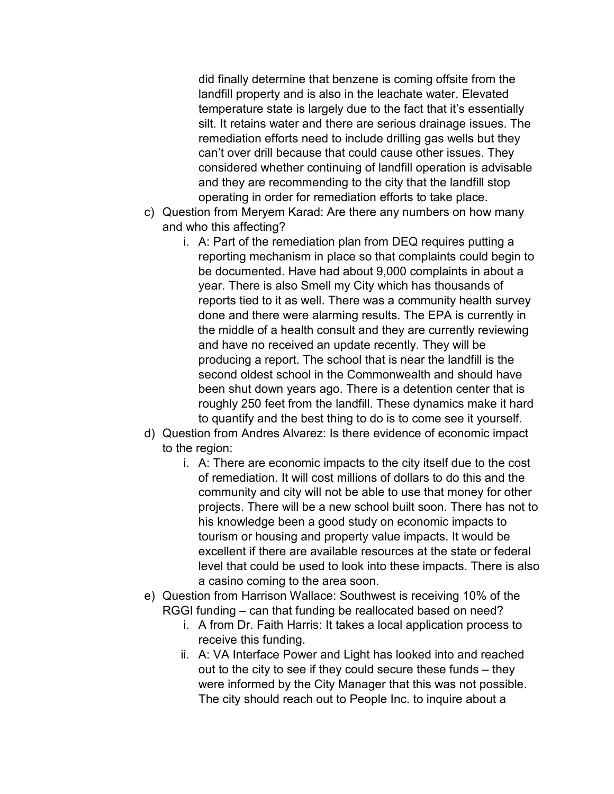did finally determine that benzene is coming offsite from the landfill property and is also in the leachate water. Elevated temperature state is largely due to the fact that it's essentially silt. It retains water and there are serious drainage issues. The remediation efforts need to include drilling gas wells but they can't over drill because that could cause other issues. They considered whether continuing of landfill operation is advisable and they are recommending to the city that the landfill stop operating in order for remediation efforts to take place.

- c) Question from Meryem Karad: Are there any numbers on how many and who this affecting?
	- i. A: Part of the remediation plan from DEQ requires putting a reporting mechanism in place so that complaints could begin to be documented. Have had about 9,000 complaints in about a year. There is also Smell my City which has thousands of reports tied to it as well. There was a community health survey done and there were alarming results. The EPA is currently in the middle of a health consult and they are currently reviewing and have no received an update recently. They will be producing a report. The school that is near the landfill is the second oldest school in the Commonwealth and should have been shut down years ago. There is a detention center that is roughly 250 feet from the landfill. These dynamics make it hard to quantify and the best thing to do is to come see it yourself.
- d) Question from Andres Alvarez: Is there evidence of economic impact to the region:
	- i. A: There are economic impacts to the city itself due to the cost of remediation. It will cost millions of dollars to do this and the community and city will not be able to use that money for other projects. There will be a new school built soon. There has not to his knowledge been a good study on economic impacts to tourism or housing and property value impacts. It would be excellent if there are available resources at the state or federal level that could be used to look into these impacts. There is also a casino coming to the area soon.
- e) Question from Harrison Wallace: Southwest is receiving 10% of the RGGI funding – can that funding be reallocated based on need?
	- i. A from Dr. Faith Harris: It takes a local application process to receive this funding.
	- ii. A: VA Interface Power and Light has looked into and reached out to the city to see if they could secure these funds – they were informed by the City Manager that this was not possible. The city should reach out to People Inc. to inquire about a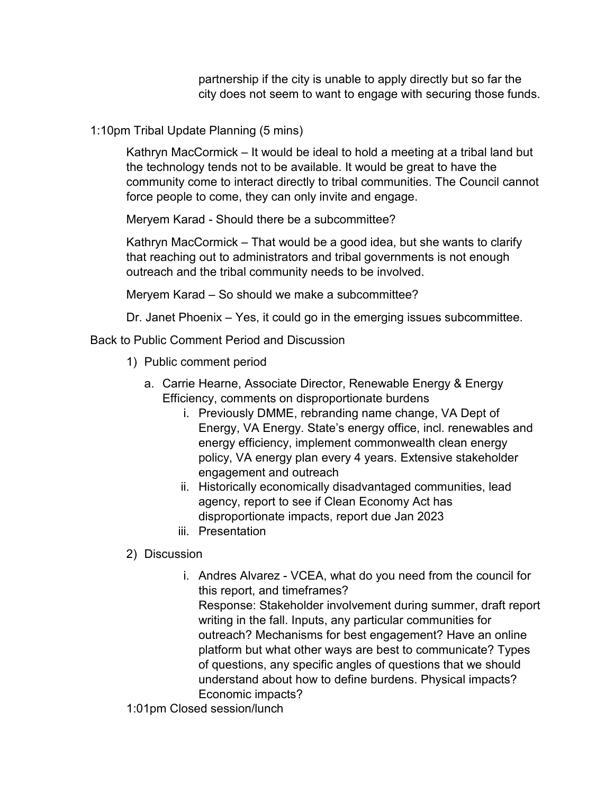partnership if the city is unable to apply directly but so far the city does not seem to want to engage with securing those funds.

1:10pm Tribal Update Planning (5 mins)

Kathryn MacCormick – It would be ideal to hold a meeting at a tribal land but the technology tends not to be available. It would be great to have the community come to interact directly to tribal communities. The Council cannot force people to come, they can only invite and engage.

Meryem Karad - Should there be a subcommittee?

Kathryn MacCormick – That would be a good idea, but she wants to clarify that reaching out to administrators and tribal governments is not enough outreach and the tribal community needs to be involved.

Meryem Karad – So should we make a subcommittee?

Dr. Janet Phoenix – Yes, it could go in the emerging issues subcommittee.

Back to Public Comment Period and Discussion

- 1) Public comment period
	- a. Carrie Hearne, Associate Director, Renewable Energy & Energy Efficiency, comments on disproportionate burdens
		- i. Previously DMME, rebranding name change, VA Dept of Energy, VA Energy. State's energy office, incl. renewables and energy efficiency, implement commonwealth clean energy policy, VA energy plan every 4 years. Extensive stakeholder engagement and outreach
		- ii. Historically economically disadvantaged communities, lead agency, report to see if Clean Economy Act has disproportionate impacts, report due Jan 2023
		- iii. Presentation

2) Discussion

i. Andres Alvarez - VCEA, what do you need from the council for this report, and timeframes? Response: Stakeholder involvement during summer, draft report writing in the fall. Inputs, any particular communities for outreach? Mechanisms for best engagement? Have an online platform but what other ways are best to communicate? Types of questions, any specific angles of questions that we should understand about how to define burdens. Physical impacts? Economic impacts?

1:01pm Closed session/lunch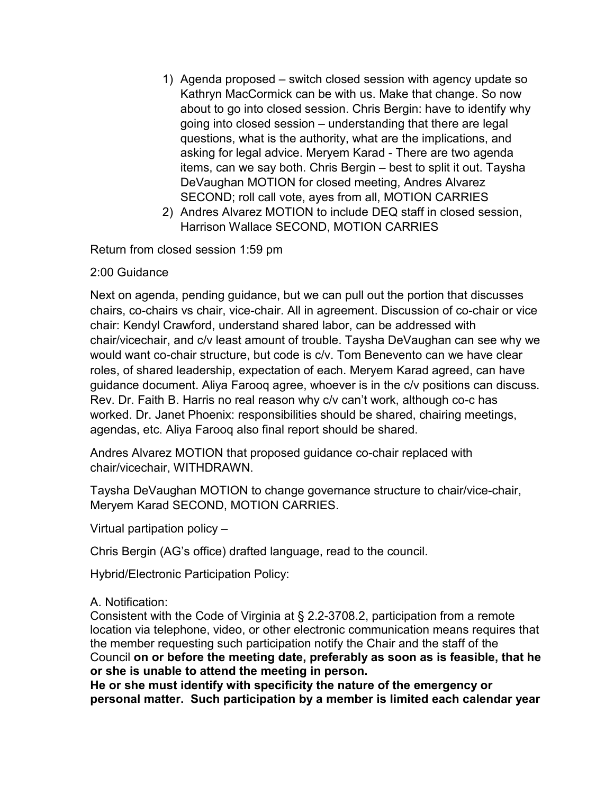- 1) Agenda proposed switch closed session with agency update so Kathryn MacCormick can be with us. Make that change. So now about to go into closed session. Chris Bergin: have to identify why going into closed session – understanding that there are legal questions, what is the authority, what are the implications, and asking for legal advice. Meryem Karad - There are two agenda items, can we say both. Chris Bergin – best to split it out. Taysha DeVaughan MOTION for closed meeting, Andres Alvarez SECOND; roll call vote, ayes from all, MOTION CARRIES
- 2) Andres Alvarez MOTION to include DEQ staff in closed session, Harrison Wallace SECOND, MOTION CARRIES

Return from closed session 1:59 pm

#### 2:00 Guidance

Next on agenda, pending guidance, but we can pull out the portion that discusses chairs, co-chairs vs chair, vice-chair. All in agreement. Discussion of co-chair or vice chair: Kendyl Crawford, understand shared labor, can be addressed with chair/vicechair, and c/v least amount of trouble. Taysha DeVaughan can see why we would want co-chair structure, but code is c/v. Tom Benevento can we have clear roles, of shared leadership, expectation of each. Meryem Karad agreed, can have guidance document. Aliya Farooq agree, whoever is in the c/v positions can discuss. Rev. Dr. Faith B. Harris no real reason why c/v can't work, although co-c has worked. Dr. Janet Phoenix: responsibilities should be shared, chairing meetings, agendas, etc. Aliya Farooq also final report should be shared.

Andres Alvarez MOTION that proposed guidance co-chair replaced with chair/vicechair, WITHDRAWN.

Taysha DeVaughan MOTION to change governance structure to chair/vice-chair, Meryem Karad SECOND, MOTION CARRIES.

Virtual partipation policy –

Chris Bergin (AG's office) drafted language, read to the council.

Hybrid/Electronic Participation Policy:

#### A. Notification:

Consistent with the Code of Virginia at § 2.2-3708.2, participation from a remote location via telephone, video, or other electronic communication means requires that the member requesting such participation notify the Chair and the staff of the Council **on or before the meeting date, preferably as soon as is feasible, that he or she is unable to attend the meeting in person.**

**He or she must identify with specificity the nature of the emergency or personal matter. Such participation by a member is limited each calendar year**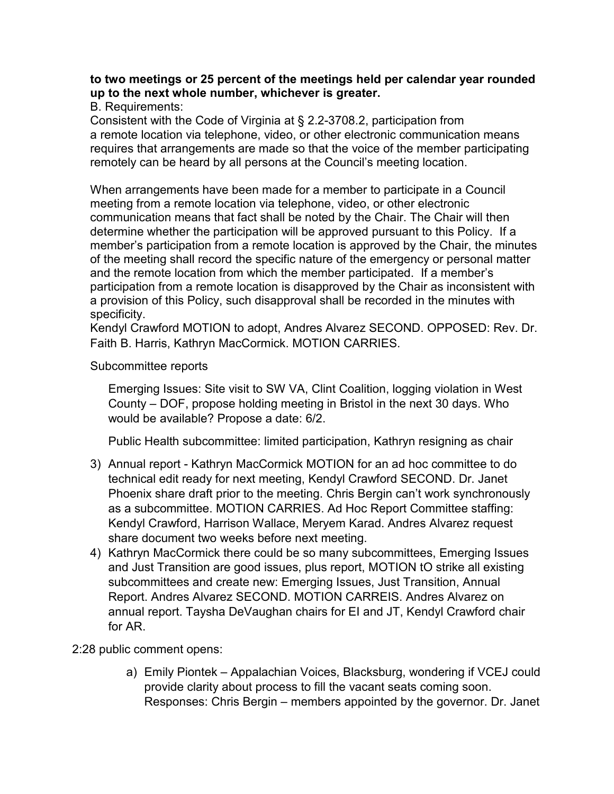#### **to two meetings or 25 percent of the meetings held per calendar year rounded up to the next whole number, whichever is greater.**

B. Requirements:

Consistent with the Code of Virginia at § 2.2-3708.2, participation from a remote location via telephone, video, or other electronic communication means requires that arrangements are made so that the voice of the member participating remotely can be heard by all persons at the Council's meeting location.

When arrangements have been made for a member to participate in a Council meeting from a remote location via telephone, video, or other electronic communication means that fact shall be noted by the Chair. The Chair will then determine whether the participation will be approved pursuant to this Policy. If a member's participation from a remote location is approved by the Chair, the minutes of the meeting shall record the specific nature of the emergency or personal matter and the remote location from which the member participated. If a member's participation from a remote location is disapproved by the Chair as inconsistent with a provision of this Policy, such disapproval shall be recorded in the minutes with specificity.

Kendyl Crawford MOTION to adopt, Andres Alvarez SECOND. OPPOSED: Rev. Dr. Faith B. Harris, Kathryn MacCormick. MOTION CARRIES.

#### Subcommittee reports

Emerging Issues: Site visit to SW VA, Clint Coalition, logging violation in West County – DOF, propose holding meeting in Bristol in the next 30 days. Who would be available? Propose a date: 6/2.

Public Health subcommittee: limited participation, Kathryn resigning as chair

- 3) Annual report Kathryn MacCormick MOTION for an ad hoc committee to do technical edit ready for next meeting, Kendyl Crawford SECOND. Dr. Janet Phoenix share draft prior to the meeting. Chris Bergin can't work synchronously as a subcommittee. MOTION CARRIES. Ad Hoc Report Committee staffing: Kendyl Crawford, Harrison Wallace, Meryem Karad. Andres Alvarez request share document two weeks before next meeting.
- 4) Kathryn MacCormick there could be so many subcommittees, Emerging Issues and Just Transition are good issues, plus report, MOTION tO strike all existing subcommittees and create new: Emerging Issues, Just Transition, Annual Report. Andres Alvarez SECOND. MOTION CARREIS. Andres Alvarez on annual report. Taysha DeVaughan chairs for EI and JT, Kendyl Crawford chair for AR.

# 2:28 public comment opens:

a) Emily Piontek – Appalachian Voices, Blacksburg, wondering if VCEJ could provide clarity about process to fill the vacant seats coming soon. Responses: Chris Bergin – members appointed by the governor. Dr. Janet